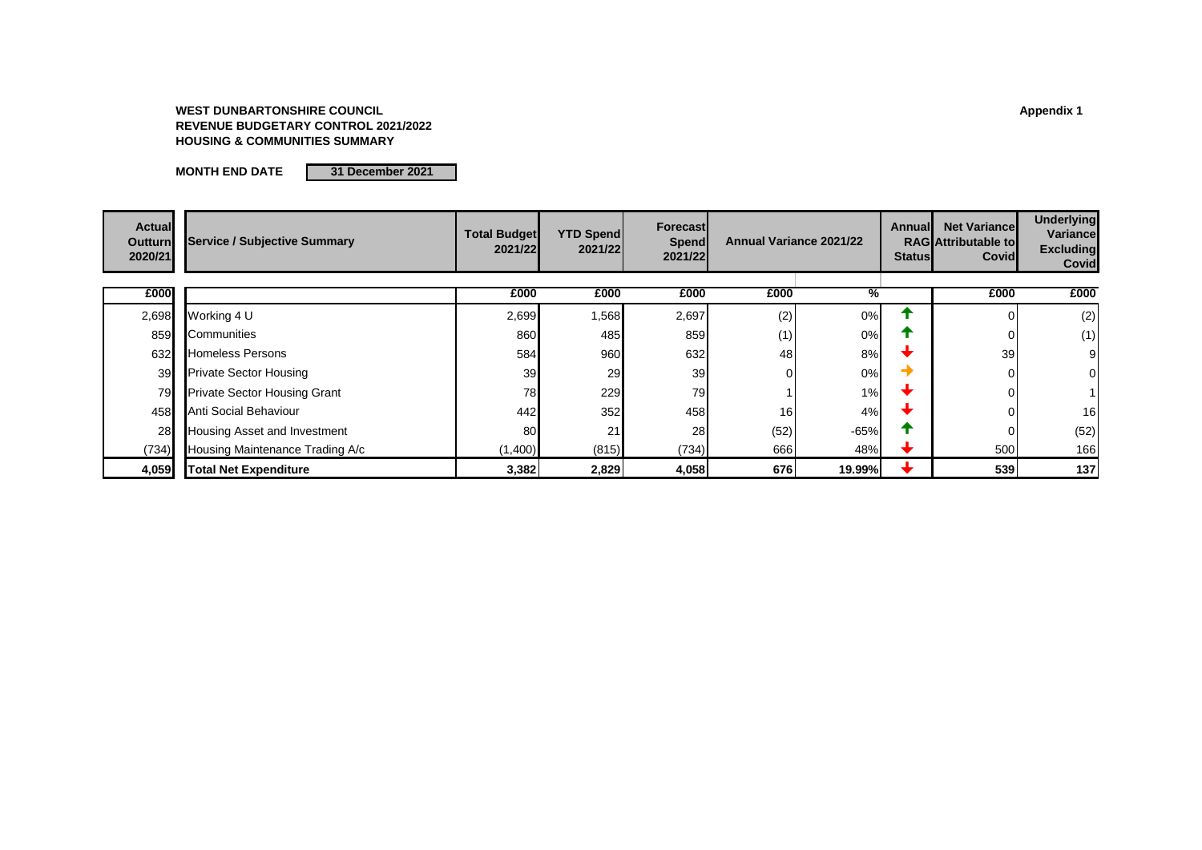### **WEST DUNBARTONSHIRE COUNCIL Appendix 1 REVENUE BUDGETARY CONTROL 2021/2022 HOUSING & COMMUNITIES SUMMARY**

**MONTH END DATE 31 December 2021**

| <b>Actual</b><br><b>Outturn</b><br>2020/21 | <b>Service / Subjective Summary</b> | <b>Total Budget</b><br>2021/22 | <b>YTD Spend</b><br>2021/22 | Forecast<br>Spend<br>2021/22 | <b>Annual Variance 2021/22</b> |               | Annuall<br><b>Status</b> | <b>Net Variancel</b><br><b>RAG</b> Attributable to<br>Covid | <b>Underlying</b><br>Variancel<br><b>Excluding</b><br><b>Covid</b> |
|--------------------------------------------|-------------------------------------|--------------------------------|-----------------------------|------------------------------|--------------------------------|---------------|--------------------------|-------------------------------------------------------------|--------------------------------------------------------------------|
| £000                                       |                                     | £000                           | £000                        | £000                         | £000                           | ℅             |                          | £000                                                        | £000                                                               |
| 2,698                                      | Working 4 U                         | 2,699                          | 1,568                       | 2,697                        | (2)                            | 0%            |                          | $\Omega$                                                    | (2)                                                                |
| 859                                        | Communities                         | 860                            | 485                         | 859                          | (1)                            | 0%            |                          | 0                                                           | (1)                                                                |
| 632                                        | <b>Homeless Persons</b>             | 584                            | 960                         | 632                          | 48                             | 8%            |                          | 39                                                          | 9                                                                  |
| 39                                         | <b>Private Sector Housing</b>       | 39                             | 29                          | 39                           |                                | 0%            |                          | 0                                                           | 0                                                                  |
| 79                                         | <b>Private Sector Housing Grant</b> | 78                             | 229                         | 79                           |                                | 1%            |                          | 0                                                           |                                                                    |
| 458                                        | Anti Social Behaviour               | 442                            | 352                         | 458                          | 16                             | 4%            |                          | 0                                                           | 16                                                                 |
| 28                                         | Housing Asset and Investment        | 80                             | 21                          | 28                           | (52)                           | -65%          |                          | 0                                                           | (52)                                                               |
| (734)                                      | Housing Maintenance Trading A/c     | (1,400)                        | (815)                       | (734)                        | 666                            | 48%           |                          | 500                                                         | 166                                                                |
| 4,059                                      | <b>Total Net Expenditure</b>        | 3,382                          | 2,829                       | 4,058                        | 676                            | <b>19.99%</b> |                          | 539                                                         | 137                                                                |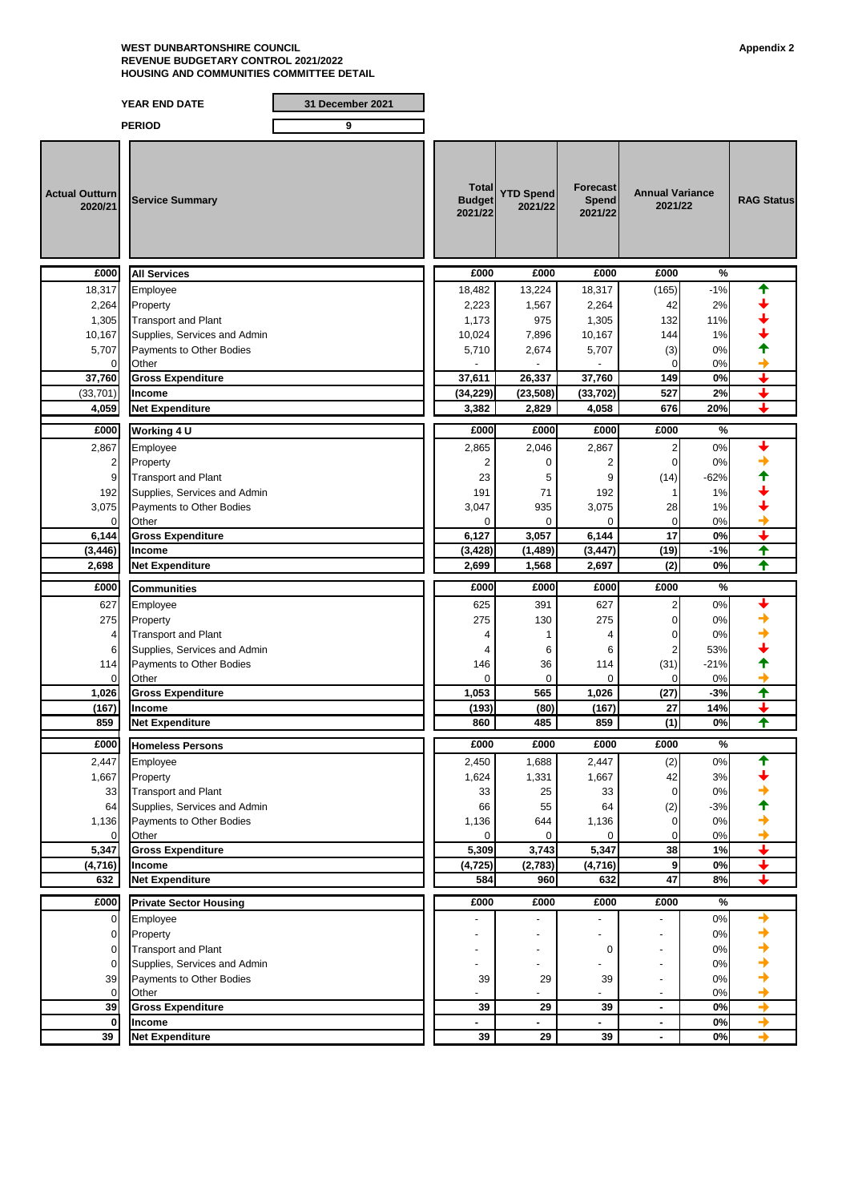#### **WEST DUNBARTONSHIRE COUNCIL Appendix 2 REVENUE BUDGETARY CONTROL 2021/2022 HOUSING AND COMMUNITIES COMMITTEE DETAIL**

## **YEAR END DATE 31 December 2021**

|                                  | <b>PERIOD</b>                                              | 9 |                                   |                             |                                     |                                            |             |                          |
|----------------------------------|------------------------------------------------------------|---|-----------------------------------|-----------------------------|-------------------------------------|--------------------------------------------|-------------|--------------------------|
| <b>Actual Outturn</b><br>2020/21 | <b>Service Summary</b>                                     |   | Total<br><b>Budget</b><br>2021/22 | <b>YTD Spend</b><br>2021/22 | <b>Forecast</b><br>Spend<br>2021/22 | <b>Annual Variance</b><br>2021/22          |             | <b>RAG Status</b>        |
| £000                             | <b>All Services</b>                                        |   | £000                              | £000                        | £000                                | £000                                       | %           |                          |
| 18,317                           | Employee                                                   |   | 18,482                            | 13,224                      | 18,317                              | (165)                                      | $-1%$       |                          |
| 2,264                            | Property                                                   |   | 2,223                             | 1,567                       | 2,264                               | 42                                         | 2%          |                          |
| 1,305                            | <b>Transport and Plant</b>                                 |   | 1,173                             | 975                         | 1,305                               | 132                                        | 11%         |                          |
| 10,167                           | Supplies, Services and Admin                               |   | 10,024                            | 7,896                       | 10,167                              | 144                                        | 1%          |                          |
| 5,707<br>$\Omega$                | Payments to Other Bodies<br>Other                          |   | 5,710                             | 2,674                       | 5,707                               | (3)<br>$\Omega$                            | 0%<br>0%    |                          |
| 37,760                           | <b>Gross Expenditure</b>                                   |   | 37,611                            | 26,337                      | 37,760                              | 149                                        | 0%          |                          |
| (33, 701)                        | <b>Income</b>                                              |   | (34, 229)                         | (23, 508)                   | (33, 702)                           | 527                                        | 2%          |                          |
| 4,059                            | <b>Net Expenditure</b>                                     |   | 3,382                             | 2,829                       | 4,058                               | 676                                        | 20%         |                          |
| £000                             | Working 4 U                                                |   | £000                              | £000                        | £000                                | £000                                       | %           |                          |
| 2,867                            | Employee                                                   |   | 2,865                             | 2,046                       | 2,867                               | 2                                          | 0%          |                          |
| $\overline{2}$                   | Property                                                   |   | 2                                 | $\Omega$                    | 2                                   | 0                                          | 0%          |                          |
| 9                                | <b>Transport and Plant</b>                                 |   | 23                                | 5                           | 9                                   | (14)                                       | $-62%$      |                          |
| 192                              | Supplies, Services and Admin                               |   | 191                               | 71                          | 192                                 | 1                                          | 1%          |                          |
| 3,075                            | Payments to Other Bodies                                   |   | 3,047                             | 935                         | 3,075                               | 28                                         | 1%          |                          |
| 0                                | Other                                                      |   | 0                                 | $\Omega$                    | $\Omega$                            | $\mathbf 0$                                | 0%          |                          |
| 6,144                            | <b>Gross Expenditure</b>                                   |   | 6,127                             | 3,057                       | 6,144                               | 17                                         | 0%          |                          |
| (3, 446)                         | Income<br><b>Net Expenditure</b>                           |   | (3, 428)<br>2,699                 | (1, 489)<br>1,568           | (3, 447)                            | (19)                                       | $-1%$<br>0% | ₳<br>✦                   |
| 2,698                            |                                                            |   |                                   |                             | 2,697                               | (2)                                        |             |                          |
| £000                             | <b>Communities</b>                                         |   | £000                              | £000                        | £000                                | £000                                       | $\%$        |                          |
| 627                              | Employee                                                   |   | 625                               | 391                         | 627                                 | 2                                          | 0%          |                          |
| 275                              | Property                                                   |   | 275                               | 130                         | 275                                 | 0                                          | 0%          |                          |
| 4<br>6                           | <b>Transport and Plant</b><br>Supplies, Services and Admin |   | 4<br>4                            | 1<br>6                      | 4<br>6                              | 0<br>2                                     | 0%<br>53%   |                          |
| 114                              | Payments to Other Bodies                                   |   | 146                               | 36                          | 114                                 | (31)                                       | $-21%$      |                          |
| 0                                | Other                                                      |   | $\mathbf 0$                       | 0                           | 0                                   | $\mathbf 0$                                | 0%          |                          |
| 1,026                            | <b>Gross Expenditure</b>                                   |   | 1,053                             | 565                         | 1,026                               | (27)                                       | $-3%$       | ✦                        |
| (167)                            | Income                                                     |   | (193)                             | (80)                        | (167)                               | 27                                         | 14%         |                          |
| 859                              | <b>Net Expenditure</b>                                     |   | 860                               | 485                         | 859                                 | (1)                                        | 0%          | ♠                        |
| £000                             | <b>Homeless Persons</b>                                    |   | £000                              | £000                        | £000                                | £000                                       | %           |                          |
| 2,447                            | Employee                                                   |   | 2,450                             | 1,688                       | 2,447                               | (2)                                        | $0\%$       |                          |
| 1,667                            | Property                                                   |   | 1,624                             | 1,331                       | 1,667                               | 42                                         | 3%          |                          |
| 33                               | <b>Transport and Plant</b>                                 |   | 33                                | 25                          | 33                                  | 0                                          | 0%          |                          |
| 64                               | Supplies, Services and Admin                               |   | 66                                | 55                          | 64                                  | (2)                                        | $-3%$<br>0% |                          |
| 1,136<br>$\mathbf 0$             | Payments to Other Bodies<br>Other                          |   | 1,136<br>$\Omega$                 | 644<br>$\Omega$             | 1,136<br>$\mathbf 0$                | 0<br>0                                     | 0%          |                          |
| 5,347                            | <b>Gross Expenditure</b>                                   |   | 5,309                             | 3,743                       | 5,347                               | 38                                         | 1%          | $\overline{\phantom{0}}$ |
| (4, 716)                         | Income                                                     |   | (4, 725)                          | (2,783)                     | (4,716)                             | 9                                          | $0\%$       | ↓                        |
| 632                              | <b>Net Expenditure</b>                                     |   | 584                               | 960                         | 632                                 | $\overline{47}$                            | 8%          | ✦                        |
| £000                             | <b>Private Sector Housing</b>                              |   | £000                              | £000                        | £000                                | £000                                       | %           |                          |
| 0                                | Employee                                                   |   |                                   |                             |                                     |                                            | 0%          | →                        |
| $\mathbf 0$                      | Property                                                   |   |                                   |                             |                                     |                                            | 0%          |                          |
| $\mathbf 0$                      | <b>Transport and Plant</b>                                 |   |                                   |                             | 0                                   |                                            | 0%          |                          |
| $\mathbf 0$                      | Supplies, Services and Admin                               |   |                                   |                             |                                     | ٠                                          | 0%          |                          |
| 39                               | Payments to Other Bodies<br>Other                          |   | 39                                | 29                          | 39                                  | $\overline{a}$                             | 0%<br>0%    |                          |
| 0<br>39                          | <b>Gross Expenditure</b>                                   |   | 39                                | 29                          | 39                                  | $\overline{\phantom{m}}$<br>$\blacksquare$ | 0%          | →                        |
| $\mathbf 0$                      | Income                                                     |   |                                   |                             |                                     | ٠                                          | 0%          | →                        |
| 39                               | <b>Net Expenditure</b>                                     |   | 39                                | 29                          | 39                                  | $\blacksquare$                             | 0%          | $\rightarrow$            |
|                                  |                                                            |   |                                   |                             |                                     |                                            |             |                          |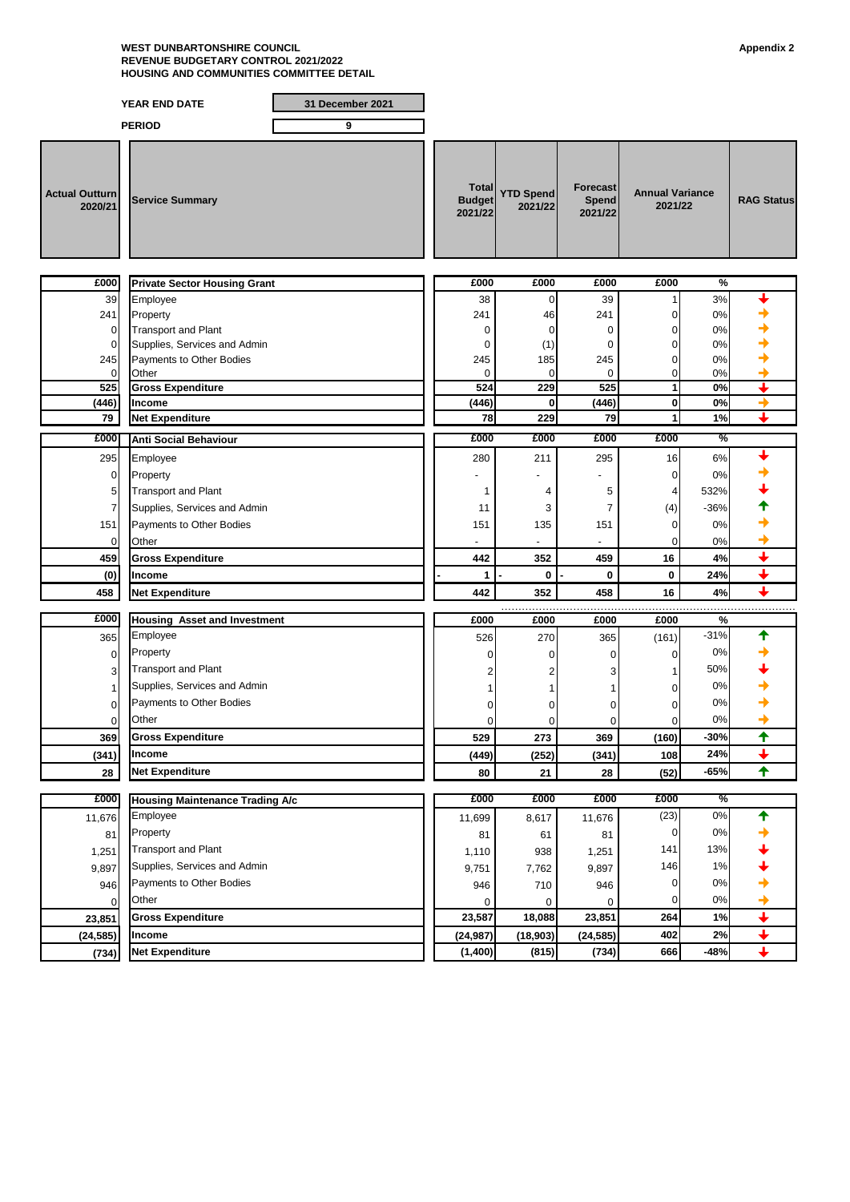#### **WEST DUNBARTONSHIRE COUNCIL Appendix 2 REVENUE BUDGETARY CONTROL 2021/2022 HOUSING AND COMMUNITIES COMMITTEE DETAIL**

### **YEAR END DATE 31 December 2021 PERIOD 9 Actual Outturn 2020/21 Service Summary Total Budget 2021/22 YTD Spend 2021/22 Forecast Spend 2021/22 RAG Status Annual Variance 2021/22 £000 £000 £000 £000 £000 % Private Sector Housing Grant** 39 Employee  $\begin{array}{|c|c|c|c|c|c|}\n\hline\n38 & 0 & 39 & 1 & 3\% \\\hline\n\end{array}$ 241 Property 241 46 241 0 0% 0 Transport and Plant 0 0 0 0 0% 0 Supplies, Services and Admin 0 (1) 0 0 0% 245 **Payments to Other Bodies** 245 **185 245 245 0** 0% 0 Other 0 0 0 0 0% **525 Gross Expenditure 524 229 525 1 0% (446) Income (446) 0 (446) 0 0% 79 Net Expenditure 78 229 79 1 1% £000 £000 £000 £000 £000 % Anti Social Behaviour** 295 Employee 280 211 295 16 6% 0 Property - - - 0 0% 5 Transport and Plant 1 4 532% 7 Supplies, Services and Admin 2008 12 11 12 11 3 7  $(4)$  36%  $\rightarrow$ 151 **Payments to Other Bodies** 151 151 135 151 151 0 0% 0 Other - - - 0 0% **459 Gross Expenditure** ★ **442 442 459 459 46 4**% **↓ (0) Income - 1 - 0 - 0 0 24% 458 Net Expenditure 442 352 458 16 4%** …………………………………………………………………………………………………………………………………………………………………………………………. **£000 £000 £000 £000 £000 % Housing Asset and Investment**365 Employee 526 270 365 (161) -31% 0 Property 0 0 0 0 0% 3 Transport and Plant 2 2 3 1 50% 1 Supplies, Services and Admin 1 1 1 1 1 1 0 0%  $\rightarrow$ 0 Payments to Other Bodies 0 0 0 0 0% 0 Other 0 0 0 0 0% **369 Gross Expenditure 529 273 369 (160) -30% (341) Income (449) (252) (341) 108 24% 28 Net Expenditure 80 21 28 (52) -65% £000 £000 £000 £000 £000 % Housing Maintenance Trading A/c** 11,676 Employee 11,699 8,617 11,676 (23) 0%  $81$  Property  $81$  81  $81$  81  $81$  81  $81$  0 0%  $\rightarrow$ 1,251 Transport and Plant 13% 9,897 Supplies, Services and Admin  $\begin{array}{ccc} 9,897 \\ 946 \end{array}$  7,762 9,897 146 1% →<br>946 Payments to Other Bodies →  $946$  Payments to Other Bodies and the set of the set of the set of the set of the set of the set of the set of the set of the set of the set of the set of the set of the set of the set of the set of the set of the set of 0 Other 0 0 0 0 0% **23,851 Gross Expenditure 23,587 18,088 23,851 264 1% (24,585) Income (24,987) (18,903) (24,585) 402 2% (734) Net Expenditure (1,400) (815) (734) 666 -48%**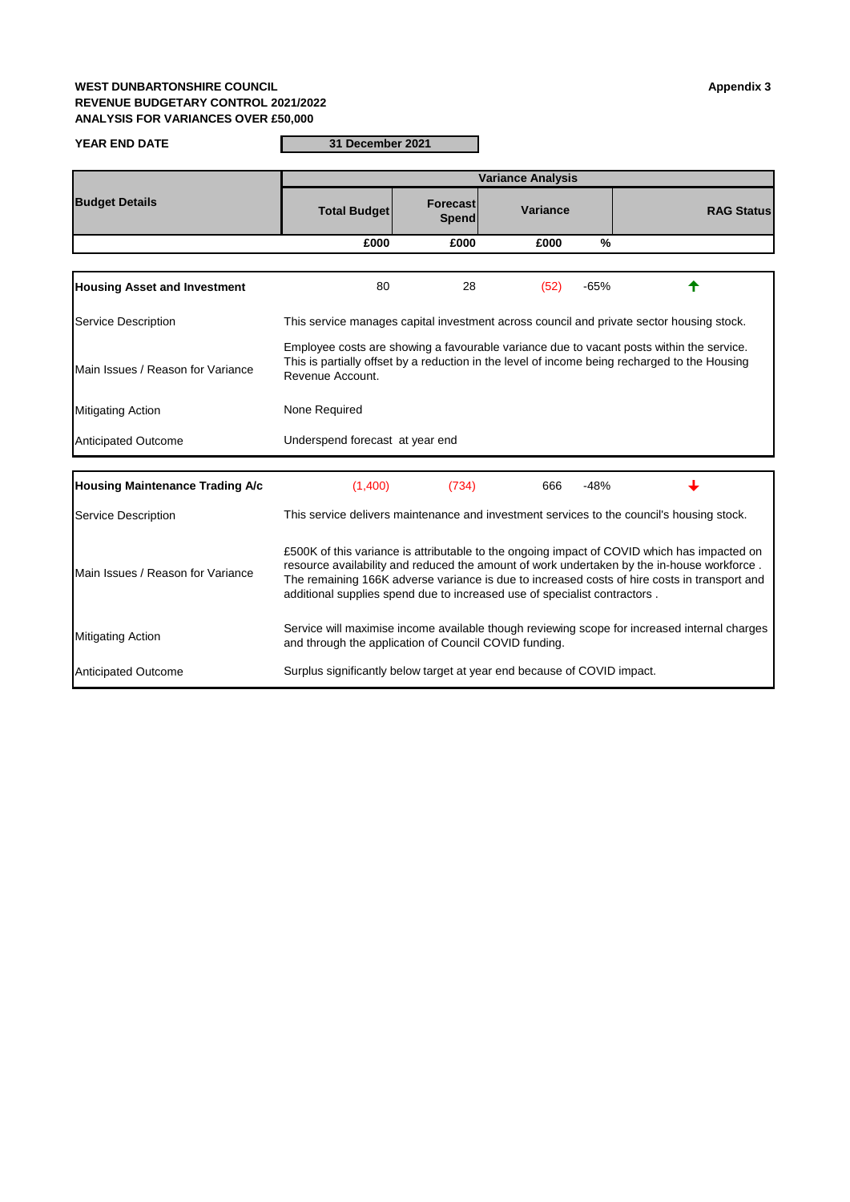## **WEST DUNBARTONSHIRE COUNCIL Appendix 3 REVENUE BUDGETARY CONTROL 2021/2022 ANALYSIS FOR VARIANCES OVER £50,000**

**YEAR END DATE 31 December 2021**

|                                        | <b>Variance Analysis</b>                                                                                                                                                                                                                                                                                                                                               |                          |          |               |                                                                                           |  |  |  |
|----------------------------------------|------------------------------------------------------------------------------------------------------------------------------------------------------------------------------------------------------------------------------------------------------------------------------------------------------------------------------------------------------------------------|--------------------------|----------|---------------|-------------------------------------------------------------------------------------------|--|--|--|
| <b>Budget Details</b>                  | <b>Total Budget</b>                                                                                                                                                                                                                                                                                                                                                    | Forecast<br><b>Spend</b> | Variance |               | <b>RAG Status</b>                                                                         |  |  |  |
|                                        | £000                                                                                                                                                                                                                                                                                                                                                                   | £000                     | £000     | $\frac{9}{6}$ |                                                                                           |  |  |  |
|                                        |                                                                                                                                                                                                                                                                                                                                                                        |                          |          |               |                                                                                           |  |  |  |
| <b>Housing Asset and Investment</b>    | 80                                                                                                                                                                                                                                                                                                                                                                     | 28                       | (52)     | $-65%$        |                                                                                           |  |  |  |
| Service Description                    | This service manages capital investment across council and private sector housing stock.                                                                                                                                                                                                                                                                               |                          |          |               |                                                                                           |  |  |  |
| Main Issues / Reason for Variance      | Employee costs are showing a favourable variance due to vacant posts within the service.<br>This is partially offset by a reduction in the level of income being recharged to the Housing<br>Revenue Account.                                                                                                                                                          |                          |          |               |                                                                                           |  |  |  |
| <b>Mitigating Action</b>               | None Required                                                                                                                                                                                                                                                                                                                                                          |                          |          |               |                                                                                           |  |  |  |
| <b>Anticipated Outcome</b>             | Underspend forecast at year end                                                                                                                                                                                                                                                                                                                                        |                          |          |               |                                                                                           |  |  |  |
| <b>Housing Maintenance Trading A/c</b> | (1,400)                                                                                                                                                                                                                                                                                                                                                                | (734)                    | 666      | $-48%$        |                                                                                           |  |  |  |
| Service Description                    |                                                                                                                                                                                                                                                                                                                                                                        |                          |          |               | This service delivers maintenance and investment services to the council's housing stock. |  |  |  |
| Main Issues / Reason for Variance      | £500K of this variance is attributable to the ongoing impact of COVID which has impacted on<br>resource availability and reduced the amount of work undertaken by the in-house workforce.<br>The remaining 166K adverse variance is due to increased costs of hire costs in transport and<br>additional supplies spend due to increased use of specialist contractors. |                          |          |               |                                                                                           |  |  |  |
| <b>Mitigating Action</b>               | Service will maximise income available though reviewing scope for increased internal charges<br>and through the application of Council COVID funding.                                                                                                                                                                                                                  |                          |          |               |                                                                                           |  |  |  |

Anticipated Outcome Surplus significantly below target at year end because of COVID impact.